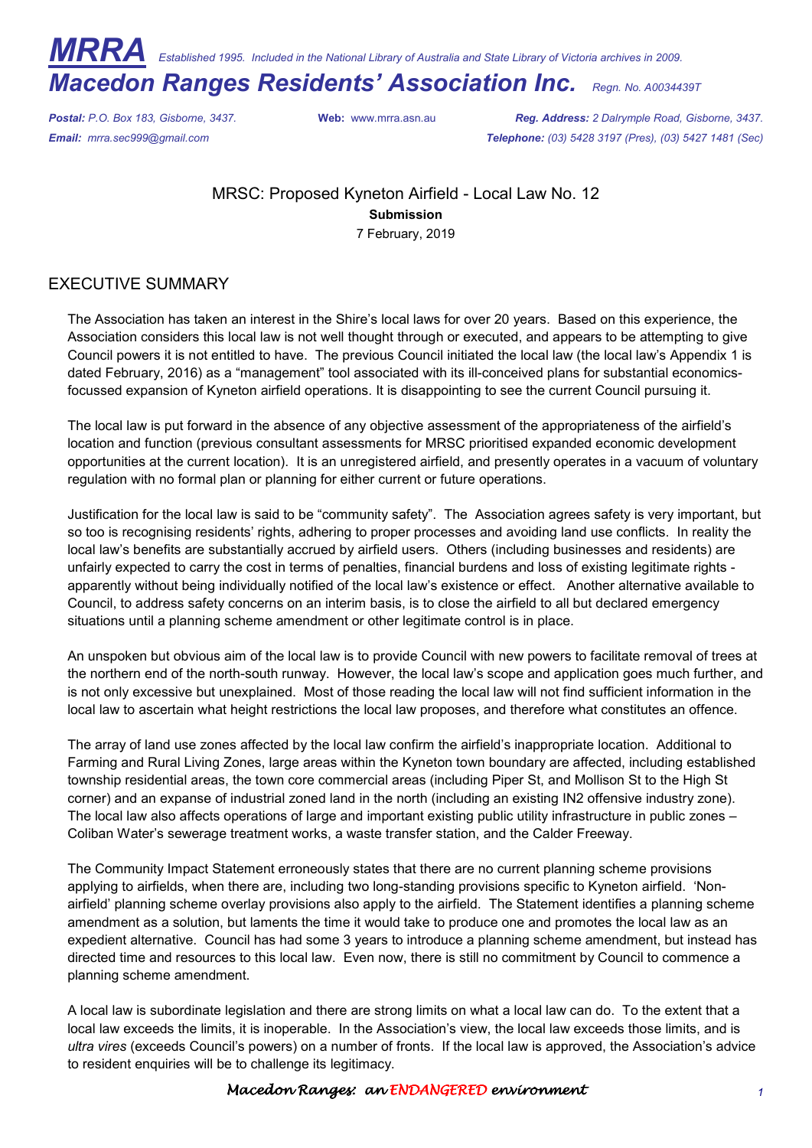*MRRA Established 1995. Included in the National Library of Australia and State Library of Victoria archives in 2009.* 

*Macedon Ranges Residents' Association Inc. Regn. No. A0034439T*

*Postal: P.O. Box 183, Gisborne, 3437.* **Web:** www.mrra.asn.au *Reg. Address: 2 Dalrymple Road, Gisborne, 3437. Email: mrra.sec999@gmail.com Telephone: (03) 5428 3197 (Pres), (03) 5427 1481 (Sec)*

> MRSC: Proposed Kyneton Airfield - Local Law No. 12 **Submission**  7 February, 2019

## EXECUTIVE SUMMARY

The Association has taken an interest in the Shire's local laws for over 20 years. Based on this experience, the Association considers this local law is not well thought through or executed, and appears to be attempting to give Council powers it is not entitled to have. The previous Council initiated the local law (the local law's Appendix 1 is dated February, 2016) as a "management" tool associated with its ill-conceived plans for substantial economicsfocussed expansion of Kyneton airfield operations. It is disappointing to see the current Council pursuing it.

The local law is put forward in the absence of any objective assessment of the appropriateness of the airfield's location and function (previous consultant assessments for MRSC prioritised expanded economic development opportunities at the current location). It is an unregistered airfield, and presently operates in a vacuum of voluntary regulation with no formal plan or planning for either current or future operations.

Justification for the local law is said to be "community safety". The Association agrees safety is very important, but so too is recognising residents' rights, adhering to proper processes and avoiding land use conflicts. In reality the local law's benefits are substantially accrued by airfield users. Others (including businesses and residents) are unfairly expected to carry the cost in terms of penalties, financial burdens and loss of existing legitimate rights apparently without being individually notified of the local law's existence or effect. Another alternative available to Council, to address safety concerns on an interim basis, is to close the airfield to all but declared emergency situations until a planning scheme amendment or other legitimate control is in place.

An unspoken but obvious aim of the local law is to provide Council with new powers to facilitate removal of trees at the northern end of the north-south runway. However, the local law's scope and application goes much further, and is not only excessive but unexplained. Most of those reading the local law will not find sufficient information in the local law to ascertain what height restrictions the local law proposes, and therefore what constitutes an offence.

The array of land use zones affected by the local law confirm the airfield's inappropriate location. Additional to Farming and Rural Living Zones, large areas within the Kyneton town boundary are affected, including established township residential areas, the town core commercial areas (including Piper St, and Mollison St to the High St corner) and an expanse of industrial zoned land in the north (including an existing IN2 offensive industry zone). The local law also affects operations of large and important existing public utility infrastructure in public zones – Coliban Water's sewerage treatment works, a waste transfer station, and the Calder Freeway.

The Community Impact Statement erroneously states that there are no current planning scheme provisions applying to airfields, when there are, including two long-standing provisions specific to Kyneton airfield. 'Nonairfield' planning scheme overlay provisions also apply to the airfield. The Statement identifies a planning scheme amendment as a solution, but laments the time it would take to produce one and promotes the local law as an expedient alternative. Council has had some 3 years to introduce a planning scheme amendment, but instead has directed time and resources to this local law. Even now, there is still no commitment by Council to commence a planning scheme amendment.

A local law is subordinate legislation and there are strong limits on what a local law can do. To the extent that a local law exceeds the limits, it is inoperable. In the Association's view, the local law exceeds those limits, and is *ultra vires* (exceeds Council's powers) on a number of fronts. If the local law is approved, the Association's advice to resident enquiries will be to challenge its legitimacy.

## Macedon Ranges: an ENDANGERED environment **1**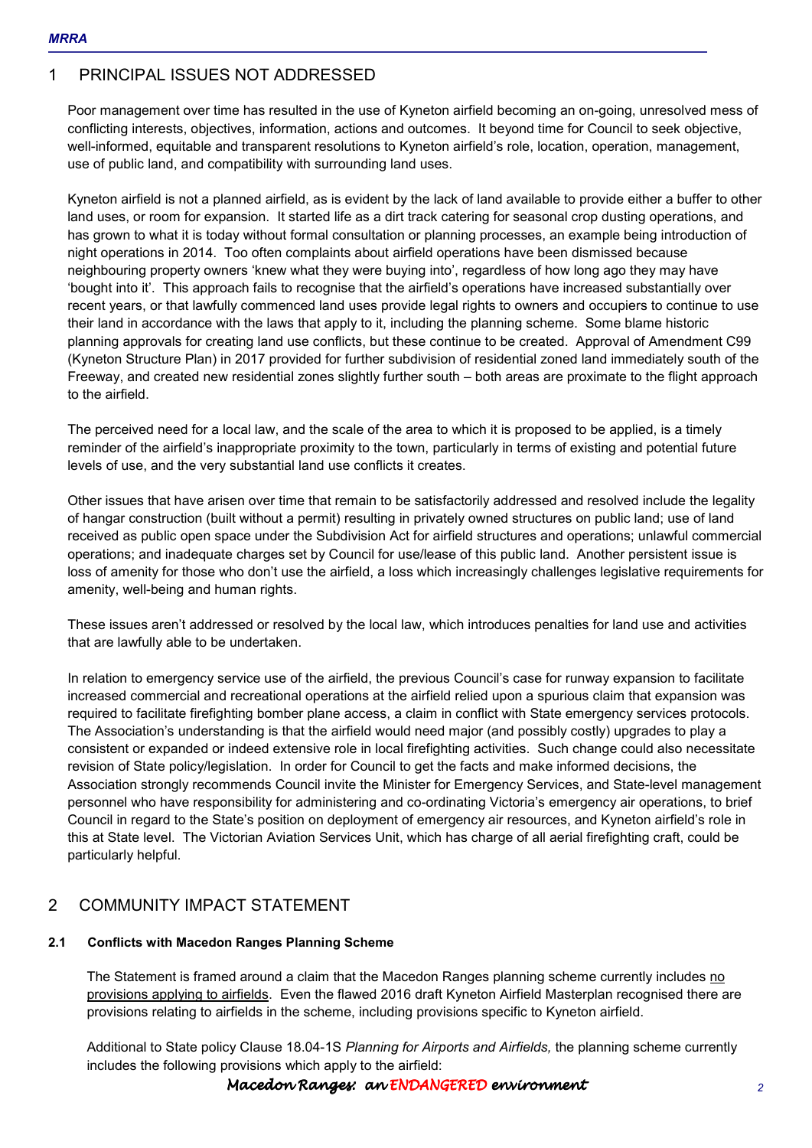# 1 PRINCIPAL ISSUES NOT ADDRESSED

Poor management over time has resulted in the use of Kyneton airfield becoming an on-going, unresolved mess of conflicting interests, objectives, information, actions and outcomes. It beyond time for Council to seek objective, well-informed, equitable and transparent resolutions to Kyneton airfield's role, location, operation, management, use of public land, and compatibility with surrounding land uses.

Kyneton airfield is not a planned airfield, as is evident by the lack of land available to provide either a buffer to other land uses, or room for expansion. It started life as a dirt track catering for seasonal crop dusting operations, and has grown to what it is today without formal consultation or planning processes, an example being introduction of night operations in 2014. Too often complaints about airfield operations have been dismissed because neighbouring property owners 'knew what they were buying into', regardless of how long ago they may have 'bought into it'. This approach fails to recognise that the airfield's operations have increased substantially over recent years, or that lawfully commenced land uses provide legal rights to owners and occupiers to continue to use their land in accordance with the laws that apply to it, including the planning scheme. Some blame historic planning approvals for creating land use conflicts, but these continue to be created. Approval of Amendment C99 (Kyneton Structure Plan) in 2017 provided for further subdivision of residential zoned land immediately south of the Freeway, and created new residential zones slightly further south – both areas are proximate to the flight approach to the airfield.

The perceived need for a local law, and the scale of the area to which it is proposed to be applied, is a timely reminder of the airfield's inappropriate proximity to the town, particularly in terms of existing and potential future levels of use, and the very substantial land use conflicts it creates.

Other issues that have arisen over time that remain to be satisfactorily addressed and resolved include the legality of hangar construction (built without a permit) resulting in privately owned structures on public land; use of land received as public open space under the Subdivision Act for airfield structures and operations; unlawful commercial operations; and inadequate charges set by Council for use/lease of this public land. Another persistent issue is loss of amenity for those who don't use the airfield, a loss which increasingly challenges legislative requirements for amenity, well-being and human rights.

These issues aren't addressed or resolved by the local law, which introduces penalties for land use and activities that are lawfully able to be undertaken.

In relation to emergency service use of the airfield, the previous Council's case for runway expansion to facilitate increased commercial and recreational operations at the airfield relied upon a spurious claim that expansion was required to facilitate firefighting bomber plane access, a claim in conflict with State emergency services protocols. The Association's understanding is that the airfield would need major (and possibly costly) upgrades to play a consistent or expanded or indeed extensive role in local firefighting activities. Such change could also necessitate revision of State policy/legislation. In order for Council to get the facts and make informed decisions, the Association strongly recommends Council invite the Minister for Emergency Services, and State-level management personnel who have responsibility for administering and co-ordinating Victoria's emergency air operations, to brief Council in regard to the State's position on deployment of emergency air resources, and Kyneton airfield's role in this at State level. The Victorian Aviation Services Unit, which has charge of all aerial firefighting craft, could be particularly helpful.

## 2 COMMUNITY IMPACT STATEMENT

## **2.1 Conflicts with Macedon Ranges Planning Scheme**

The Statement is framed around a claim that the Macedon Ranges planning scheme currently includes no provisions applying to airfields. Even the flawed 2016 draft Kyneton Airfield Masterplan recognised there are provisions relating to airfields in the scheme, including provisions specific to Kyneton airfield.

Additional to State policy Clause 18.04-1S *Planning for Airports and Airfields,* the planning scheme currently includes the following provisions which apply to the airfield: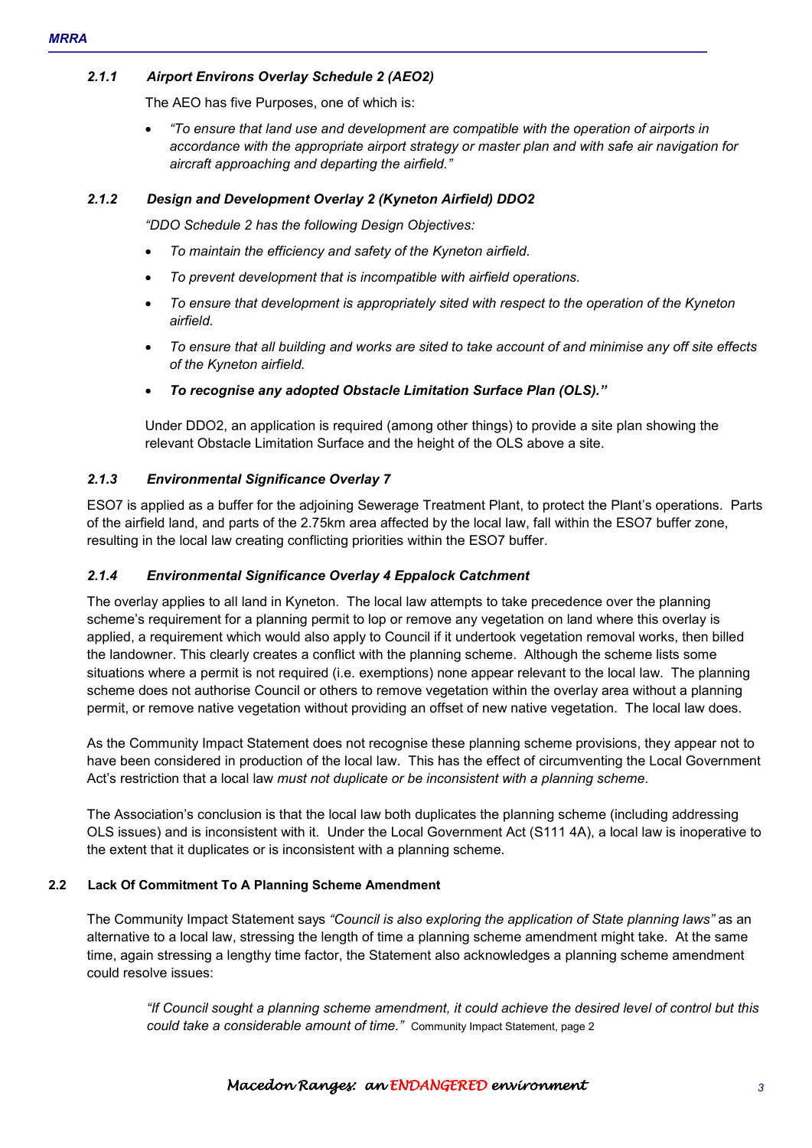## *2.1.1 Airport Environs Overlay Schedule 2 (AEO2)*

The AEO has five Purposes, one of which is:

• *"To ensure that land use and development are compatible with the operation of airports in accordance with the appropriate airport strategy or master plan and with safe air navigation for aircraft approaching and departing the airfield."* 

## *2.1.2 Design and Development Overlay 2 (Kyneton Airfield) DDO2*

*"DDO Schedule 2 has the following Design Objectives:* 

- *To maintain the efficiency and safety of the Kyneton airfield.*
- *To prevent development that is incompatible with airfield operations.*
- *To ensure that development is appropriately sited with respect to the operation of the Kyneton airfield.*
- *To ensure that all building and works are sited to take account of and minimise any off site effects of the Kyneton airfield.*
- *To recognise any adopted Obstacle Limitation Surface Plan (OLS)."*

Under DDO2, an application is required (among other things) to provide a site plan showing the relevant Obstacle Limitation Surface and the height of the OLS above a site.

## *2.1.3 Environmental Significance Overlay 7*

ESO7 is applied as a buffer for the adjoining Sewerage Treatment Plant, to protect the Plant's operations. Parts of the airfield land, and parts of the 2.75km area affected by the local law, fall within the ESO7 buffer zone, resulting in the local law creating conflicting priorities within the ESO7 buffer.

### *2.1.4 Environmental Significance Overlay 4 Eppalock Catchment*

The overlay applies to all land in Kyneton. The local law attempts to take precedence over the planning scheme's requirement for a planning permit to lop or remove any vegetation on land where this overlay is applied, a requirement which would also apply to Council if it undertook vegetation removal works, then billed the landowner. This clearly creates a conflict with the planning scheme. Although the scheme lists some situations where a permit is not required (i.e. exemptions) none appear relevant to the local law. The planning scheme does not authorise Council or others to remove vegetation within the overlay area without a planning permit, or remove native vegetation without providing an offset of new native vegetation. The local law does.

As the Community Impact Statement does not recognise these planning scheme provisions, they appear not to have been considered in production of the local law. This has the effect of circumventing the Local Government Act's restriction that a local law *must not duplicate or be inconsistent with a planning scheme*.

The Association's conclusion is that the local law both duplicates the planning scheme (including addressing OLS issues) and is inconsistent with it. Under the Local Government Act (S111 4A), a local law is inoperative to the extent that it duplicates or is inconsistent with a planning scheme.

## **2.2 Lack Of Commitment To A Planning Scheme Amendment**

The Community Impact Statement says *"Council is also exploring the application of State planning laws"* as an alternative to a local law, stressing the length of time a planning scheme amendment might take. At the same time, again stressing a lengthy time factor, the Statement also acknowledges a planning scheme amendment could resolve issues:

*"If Council sought a planning scheme amendment, it could achieve the desired level of control but this could take a considerable amount of time."* Community Impact Statement, page 2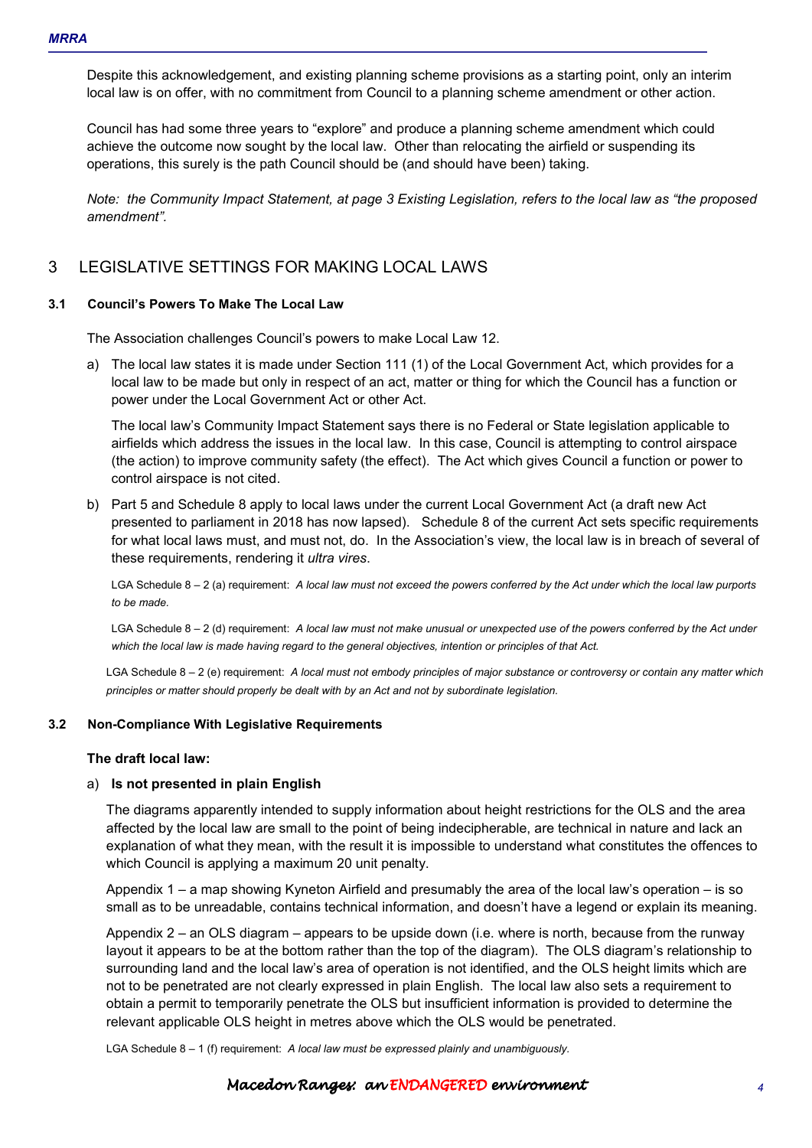Despite this acknowledgement, and existing planning scheme provisions as a starting point, only an interim local law is on offer, with no commitment from Council to a planning scheme amendment or other action.

Council has had some three years to "explore" and produce a planning scheme amendment which could achieve the outcome now sought by the local law. Other than relocating the airfield or suspending its operations, this surely is the path Council should be (and should have been) taking.

*Note: the Community Impact Statement, at page 3 Existing Legislation, refers to the local law as "the proposed amendment".* 

## 3 LEGISLATIVE SETTINGS FOR MAKING LOCAL LAWS

#### **3.1 Council's Powers To Make The Local Law**

The Association challenges Council's powers to make Local Law 12.

a) The local law states it is made under Section 111 (1) of the Local Government Act, which provides for a local law to be made but only in respect of an act, matter or thing for which the Council has a function or power under the Local Government Act or other Act.

The local law's Community Impact Statement says there is no Federal or State legislation applicable to airfields which address the issues in the local law. In this case, Council is attempting to control airspace (the action) to improve community safety (the effect). The Act which gives Council a function or power to control airspace is not cited.

b) Part 5 and Schedule 8 apply to local laws under the current Local Government Act (a draft new Act presented to parliament in 2018 has now lapsed). Schedule 8 of the current Act sets specific requirements for what local laws must, and must not, do. In the Association's view, the local law is in breach of several of these requirements, rendering it *ultra vires*.

LGA Schedule 8 – 2 (a) requirement: *A local law must not exceed the powers conferred by the Act under which the local law purports to be made.* 

LGA Schedule 8 – 2 (d) requirement: *A local law must not make unusual or unexpected use of the powers conferred by the Act under which the local law is made having regard to the general objectives, intention or principles of that Act.* 

LGA Schedule 8 – 2 (e) requirement: *A local must not embody principles of major substance or controversy or contain any matter which principles or matter should properly be dealt with by an Act and not by subordinate legislation.* 

#### **3.2 Non-Compliance With Legislative Requirements**

#### **The draft local law:**

#### a) **Is not presented in plain English**

The diagrams apparently intended to supply information about height restrictions for the OLS and the area affected by the local law are small to the point of being indecipherable, are technical in nature and lack an explanation of what they mean, with the result it is impossible to understand what constitutes the offences to which Council is applying a maximum 20 unit penalty.

Appendix 1 – a map showing Kyneton Airfield and presumably the area of the local law's operation – is so small as to be unreadable, contains technical information, and doesn't have a legend or explain its meaning.

Appendix 2 – an OLS diagram – appears to be upside down (i.e. where is north, because from the runway layout it appears to be at the bottom rather than the top of the diagram). The OLS diagram's relationship to surrounding land and the local law's area of operation is not identified, and the OLS height limits which are not to be penetrated are not clearly expressed in plain English. The local law also sets a requirement to obtain a permit to temporarily penetrate the OLS but insufficient information is provided to determine the relevant applicable OLS height in metres above which the OLS would be penetrated.

LGA Schedule 8 – 1 (f) requirement: *A local law must be expressed plainly and unambiguously.* 

#### Macedon Ranges: an ENDANGEREDenvironment environment environment *4*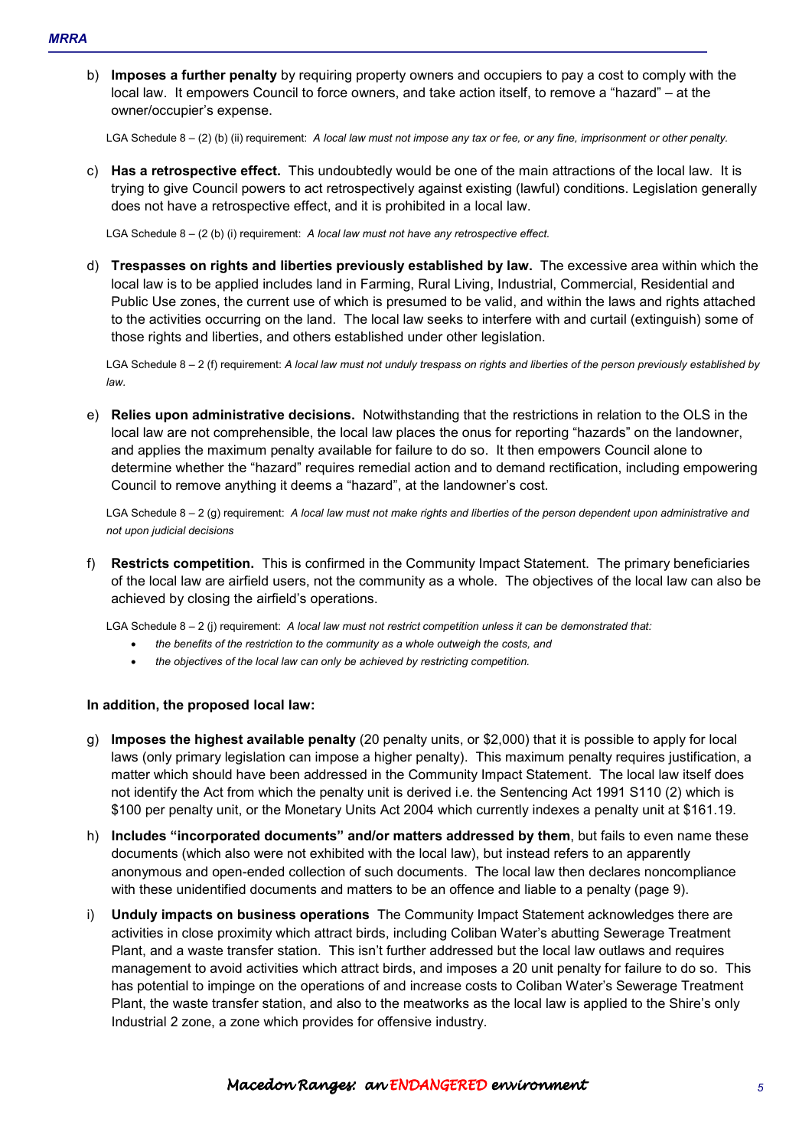b) **Imposes a further penalty** by requiring property owners and occupiers to pay a cost to comply with the local law. It empowers Council to force owners, and take action itself, to remove a "hazard" – at the owner/occupier's expense.

LGA Schedule 8 – (2) (b) (ii) requirement: *A local law must not impose any tax or fee, or any fine, imprisonment or other penalty.* 

c) **Has a retrospective effect.** This undoubtedly would be one of the main attractions of the local law. It is trying to give Council powers to act retrospectively against existing (lawful) conditions. Legislation generally does not have a retrospective effect, and it is prohibited in a local law.

LGA Schedule 8 – (2 (b) (i) requirement: *A local law must not have any retrospective effect.* 

d) **Trespasses on rights and liberties previously established by law.** The excessive area within which the local law is to be applied includes land in Farming, Rural Living, Industrial, Commercial, Residential and Public Use zones, the current use of which is presumed to be valid, and within the laws and rights attached to the activities occurring on the land. The local law seeks to interfere with and curtail (extinguish) some of those rights and liberties, and others established under other legislation.

LGA Schedule 8 – 2 (f) requirement: *A local law must not unduly trespass on rights and liberties of the person previously established by law.* 

e) **Relies upon administrative decisions.** Notwithstanding that the restrictions in relation to the OLS in the local law are not comprehensible, the local law places the onus for reporting "hazards" on the landowner, and applies the maximum penalty available for failure to do so. It then empowers Council alone to determine whether the "hazard" requires remedial action and to demand rectification, including empowering Council to remove anything it deems a "hazard", at the landowner's cost.

LGA Schedule 8 – 2 (g) requirement: *A local law must not make rights and liberties of the person dependent upon administrative and not upon judicial decisions* 

f) **Restricts competition.** This is confirmed in the Community Impact Statement. The primary beneficiaries of the local law are airfield users, not the community as a whole. The objectives of the local law can also be achieved by closing the airfield's operations.

LGA Schedule 8 – 2 (j) requirement: *A local law must not restrict competition unless it can be demonstrated that:* 

- *the benefits of the restriction to the community as a whole outweigh the costs, and*
- *the objectives of the local law can only be achieved by restricting competition.*

#### **In addition, the proposed local law:**

- g) **Imposes the highest available penalty** (20 penalty units, or \$2,000) that it is possible to apply for local laws (only primary legislation can impose a higher penalty). This maximum penalty requires justification, a matter which should have been addressed in the Community Impact Statement. The local law itself does not identify the Act from which the penalty unit is derived i.e. the Sentencing Act 1991 S110 (2) which is \$100 per penalty unit, or the Monetary Units Act 2004 which currently indexes a penalty unit at \$161.19.
- h) **Includes "incorporated documents" and/or matters addressed by them**, but fails to even name these documents (which also were not exhibited with the local law), but instead refers to an apparently anonymous and open-ended collection of such documents. The local law then declares noncompliance with these unidentified documents and matters to be an offence and liable to a penalty (page 9).
- i) **Unduly impacts on business operations** The Community Impact Statement acknowledges there are activities in close proximity which attract birds, including Coliban Water's abutting Sewerage Treatment Plant, and a waste transfer station. This isn't further addressed but the local law outlaws and requires management to avoid activities which attract birds, and imposes a 20 unit penalty for failure to do so. This has potential to impinge on the operations of and increase costs to Coliban Water's Sewerage Treatment Plant, the waste transfer station, and also to the meatworks as the local law is applied to the Shire's only Industrial 2 zone, a zone which provides for offensive industry.